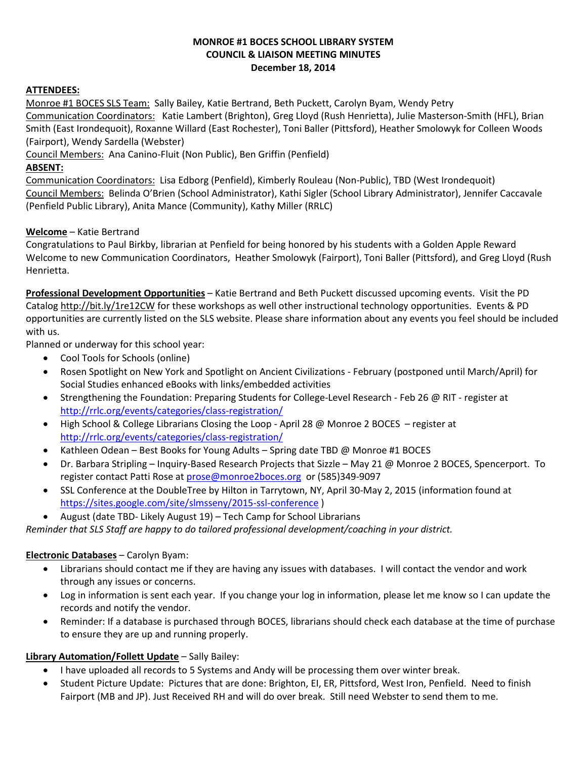#### **MONROE #1 BOCES SCHOOL LIBRARY SYSTEM COUNCIL & LIAISON MEETING MINUTES December 18, 2014**

#### **ATTENDEES:**

Monroe #1 BOCES SLS Team: Sally Bailey, Katie Bertrand, Beth Puckett, Carolyn Byam, Wendy Petry

Communication Coordinators: Katie Lambert (Brighton), Greg Lloyd (Rush Henrietta), Julie Masterson-Smith (HFL), Brian Smith (East Irondequoit), Roxanne Willard (East Rochester), Toni Baller (Pittsford), Heather Smolowyk for Colleen Woods (Fairport), Wendy Sardella (Webster)

Council Members: Ana Canino-Fluit (Non Public), Ben Griffin (Penfield)

#### **ABSENT:**

Communication Coordinators: Lisa Edborg (Penfield), Kimberly Rouleau (Non-Public), TBD (West Irondequoit) Council Members: Belinda O'Brien (School Administrator), Kathi Sigler (School Library Administrator), Jennifer Caccavale (Penfield Public Library), Anita Mance (Community), Kathy Miller (RRLC)

### **Welcome** – Katie Bertrand

Congratulations to Paul Birkby, librarian at Penfield for being honored by his students with a Golden Apple Reward Welcome to new Communication Coordinators, Heather Smolowyk (Fairport), Toni Baller (Pittsford), and Greg Lloyd (Rush Henrietta.

**Professional Development Opportunities** – Katie Bertrand and Beth Puckett discussed upcoming events. Visit the PD Catalog <http://bit.ly/1re12CW> for these workshops as well other instructional technology opportunities. Events & PD opportunities are currently listed on the SLS website. Please share information about any events you feel should be included with us.

Planned or underway for this school year:

- Cool Tools for Schools (online)
- Rosen Spotlight on New York and Spotlight on Ancient Civilizations February (postponed until March/April) for Social Studies enhanced eBooks with links/embedded activities
- Strengthening the Foundation: Preparing Students for College-Level Research Feb 26 @ RIT register at <http://rrlc.org/events/categories/class-registration/>
- High School & College Librarians Closing the Loop April 28 @ Monroe 2 BOCES register at <http://rrlc.org/events/categories/class-registration/>
- Kathleen Odean Best Books for Young Adults Spring date TBD @ Monroe #1 BOCES
- Dr. Barbara Stripling Inquiry-Based Research Projects that Sizzle May 21 @ Monroe 2 BOCES, Spencerport. To register contact Patti Rose a[t prose@monroe2boces.org](mailto:prose@monroe2boces.org) or (585)349-9097
- SSL Conference at the DoubleTree by Hilton in Tarrytown, NY, April 30-May 2, 2015 (information found at <https://sites.google.com/site/slmsseny/2015-ssl-conference> )
- August (date TBD- Likely August 19) Tech Camp for School Librarians

*Reminder that SLS Staff are happy to do tailored professional development/coaching in your district.*

## **Electronic Databases** – Carolyn Byam:

- Librarians should contact me if they are having any issues with databases. I will contact the vendor and work through any issues or concerns.
- Log in information is sent each year. If you change your log in information, please let me know so I can update the records and notify the vendor.
- Reminder: If a database is purchased through BOCES, librarians should check each database at the time of purchase to ensure they are up and running properly.

## **Library Automation/Follett Update** – Sally Bailey:

- I have uploaded all records to 5 Systems and Andy will be processing them over winter break.
- Student Picture Update: Pictures that are done: Brighton, EI, ER, Pittsford, West Iron, Penfield. Need to finish Fairport (MB and JP). Just Received RH and will do over break. Still need Webster to send them to me.